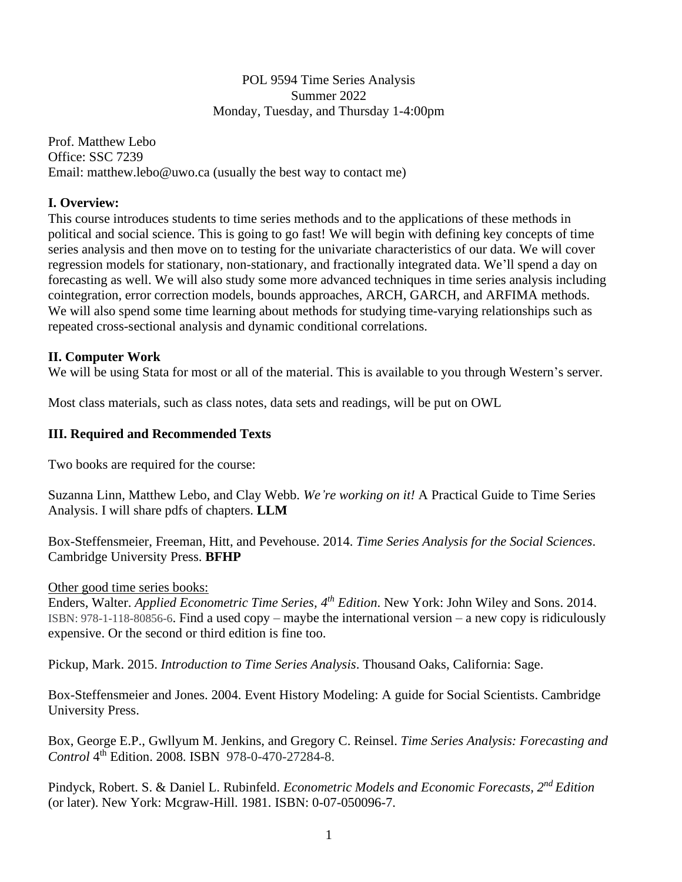### POL 9594 Time Series Analysis Summer 2022 Monday, Tuesday, and Thursday 1-4:00pm

Prof. Matthew Lebo Office: SSC 7239 Email: matthew.lebo@uwo.ca (usually the best way to contact me)

## **I. Overview:**

This course introduces students to time series methods and to the applications of these methods in political and social science. This is going to go fast! We will begin with defining key concepts of time series analysis and then move on to testing for the univariate characteristics of our data. We will cover regression models for stationary, non-stationary, and fractionally integrated data. We'll spend a day on forecasting as well. We will also study some more advanced techniques in time series analysis including cointegration, error correction models, bounds approaches, ARCH, GARCH, and ARFIMA methods. We will also spend some time learning about methods for studying time-varying relationships such as repeated cross-sectional analysis and dynamic conditional correlations.

## **II. Computer Work**

We will be using Stata for most or all of the material. This is available to you through Western's server.

Most class materials, such as class notes, data sets and readings, will be put on OWL

## **III. Required and Recommended Texts**

Two books are required for the course:

Suzanna Linn, Matthew Lebo, and Clay Webb. *We're working on it!* A Practical Guide to Time Series Analysis. I will share pdfs of chapters. **LLM**

Box-Steffensmeier, Freeman, Hitt, and Pevehouse. 2014. *Time Series Analysis for the Social Sciences*. Cambridge University Press. **BFHP**

Other good time series books:

Enders, Walter. *Applied Econometric Time Series, 4 th Edition*. New York: John Wiley and Sons. 2014. ISBN: 978-1-118-80856-6. Find a used copy – maybe the international version – a new copy is ridiculously expensive. Or the second or third edition is fine too.

Pickup, Mark. 2015. *Introduction to Time Series Analysis*. Thousand Oaks, California: Sage.

Box-Steffensmeier and Jones. 2004. Event History Modeling: A guide for Social Scientists. Cambridge University Press.

Box, George E.P., Gwllyum M. Jenkins, and Gregory C. Reinsel. *Time Series Analysis: Forecasting and*  Control 4<sup>th</sup> Edition. 2008. ISBN 978-0-470-27284-8.

Pindyck, Robert. S. & Daniel L. Rubinfeld. *Econometric Models and Economic Forecasts, 2nd Edition* (or later). New York: Mcgraw-Hill. 1981. ISBN: 0-07-050096-7.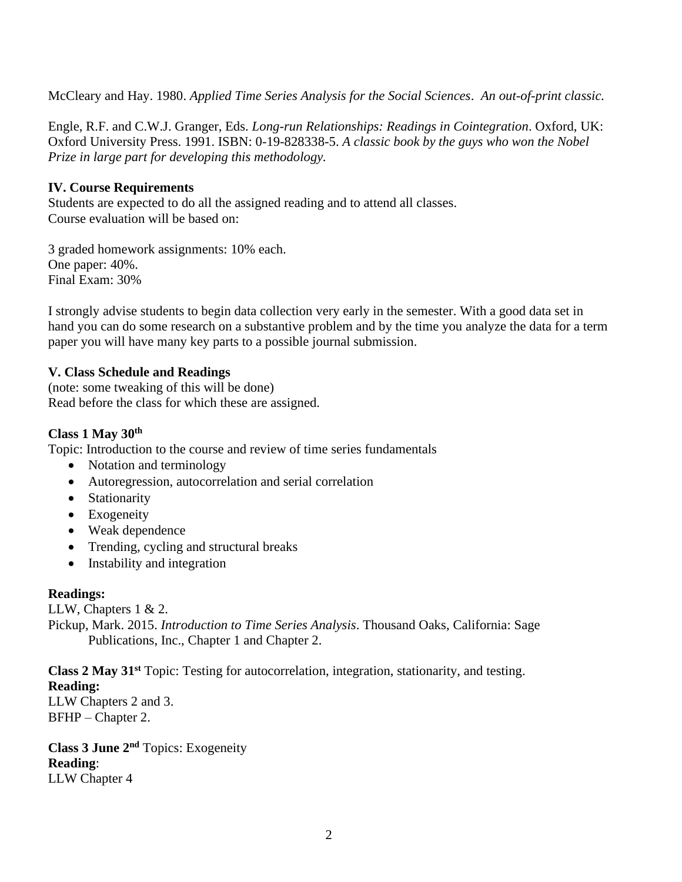McCleary and Hay. 1980. *Applied Time Series Analysis for the Social Sciences*. *An out-of-print classic.* 

Engle, R.F. and C.W.J. Granger, Eds. *Long-run Relationships: Readings in Cointegration*. Oxford, UK: Oxford University Press. 1991. ISBN: 0-19-828338-5. *A classic book by the guys who won the Nobel Prize in large part for developing this methodology.*

## **IV. Course Requirements**

Students are expected to do all the assigned reading and to attend all classes. Course evaluation will be based on:

3 graded homework assignments: 10% each. One paper: 40%. Final Exam: 30%

I strongly advise students to begin data collection very early in the semester. With a good data set in hand you can do some research on a substantive problem and by the time you analyze the data for a term paper you will have many key parts to a possible journal submission.

## **V. Class Schedule and Readings**

(note: some tweaking of this will be done) Read before the class for which these are assigned.

## **Class 1 May 30 th**

Topic: Introduction to the course and review of time series fundamentals

- Notation and terminology
- Autoregression, autocorrelation and serial correlation
- Stationarity
- Exogeneity
- Weak dependence
- Trending, cycling and structural breaks
- Instability and integration

### **Readings:**

LLW, Chapters 1 & 2.

Pickup, Mark. 2015. *Introduction to Time Series Analysis*. Thousand Oaks, California: Sage Publications, Inc., Chapter 1 and Chapter 2.

**Class 2 May 31st** Topic: Testing for autocorrelation, integration, stationarity, and testing. **Reading:** 

LLW Chapters 2 and 3. BFHP – Chapter 2.

**Class 3 June 2nd** Topics: Exogeneity **Reading**: LLW Chapter 4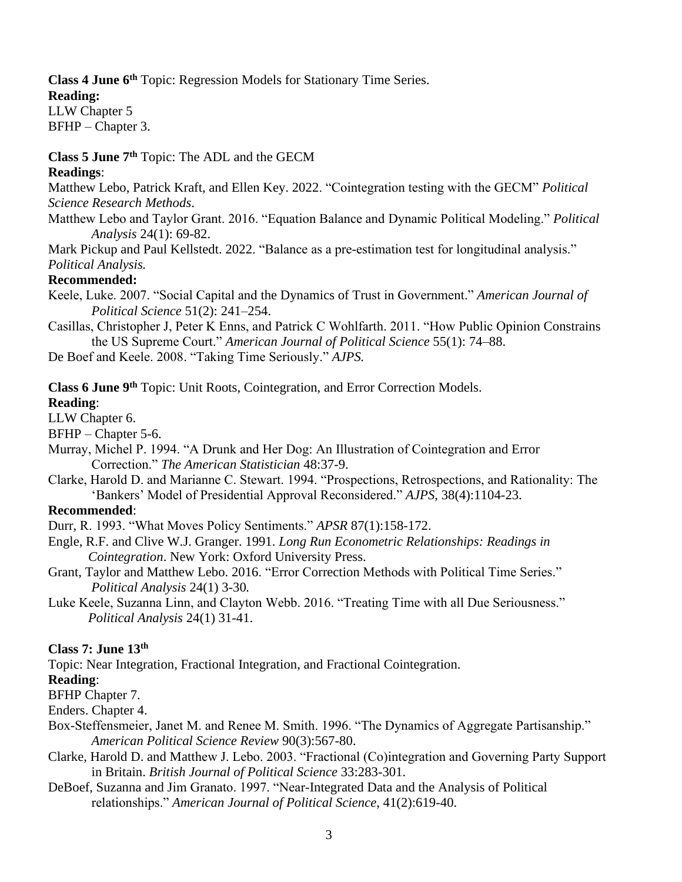**Class 4 June 6 th** Topic: Regression Models for Stationary Time Series.

## **Reading:**

LLW Chapter 5 BFHP – Chapter 3.

## **Class 5 June 7 th** Topic: The ADL and the GECM

## **Readings**:

Matthew Lebo, Patrick Kraft, and Ellen Key. 2022. "Cointegration testing with the GECM" *Political Science Research Methods*.

Matthew Lebo and Taylor Grant. 2016. "Equation Balance and Dynamic Political Modeling." *Political Analysis* 24(1): 69-82.

Mark Pickup and Paul Kellstedt. 2022. "Balance as a pre-estimation test for longitudinal analysis." *Political Analysis.*

## **Recommended:**

Keele, Luke. 2007. "Social Capital and the Dynamics of Trust in Government." *American Journal of Political Science* 51(2): 241–254.

Casillas, Christopher J, Peter K Enns, and Patrick C Wohlfarth. 2011. "How Public Opinion Constrains the US Supreme Court." *American Journal of Political Science* 55(1): 74–88.

De Boef and Keele. 2008. "Taking Time Seriously." *AJPS.*

**Class 6 June 9th** Topic: Unit Roots, Cointegration, and Error Correction Models.

## **Reading**:

### LLW Chapter 6.

BFHP – Chapter 5-6.

Murray, Michel P. 1994. "A Drunk and Her Dog: An Illustration of Cointegration and Error Correction." *The American Statistician* 48:37-9.

Clarke, Harold D. and Marianne C. Stewart. 1994. "Prospections, Retrospections, and Rationality: The 'Bankers' Model of Presidential Approval Reconsidered." *AJPS*, 38(4):1104-23.

## **Recommended**:

Durr, R. 1993. "What Moves Policy Sentiments." *APSR* 87(1):158-172.

- Engle, R.F. and Clive W.J. Granger. 1991. *Long Run Econometric Relationships: Readings in Cointegration*. New York: Oxford University Press.
- Grant, Taylor and Matthew Lebo. 2016. "Error Correction Methods with Political Time Series." *Political Analysis* 24(1) 3-30*.*
- Luke Keele, Suzanna Linn, and Clayton Webb. 2016. "Treating Time with all Due Seriousness." *Political Analysis* 24(1) 31-41.

# **Class 7: June 13th**

Topic: Near Integration, Fractional Integration, and Fractional Cointegration.

## **Reading**:

BFHP Chapter 7.

Enders. Chapter 4.

- Box-Steffensmeier, Janet M. and Renee M. Smith. 1996. "The Dynamics of Aggregate Partisanship." *American Political Science Review* 90(3):567-80.
- Clarke, Harold D. and Matthew J. Lebo. 2003. "Fractional (Co)integration and Governing Party Support in Britain. *British Journal of Political Science* 33:283-301.
- DeBoef, Suzanna and Jim Granato. 1997. "Near-Integrated Data and the Analysis of Political relationships." *American Journal of Political Science*, 41(2):619-40.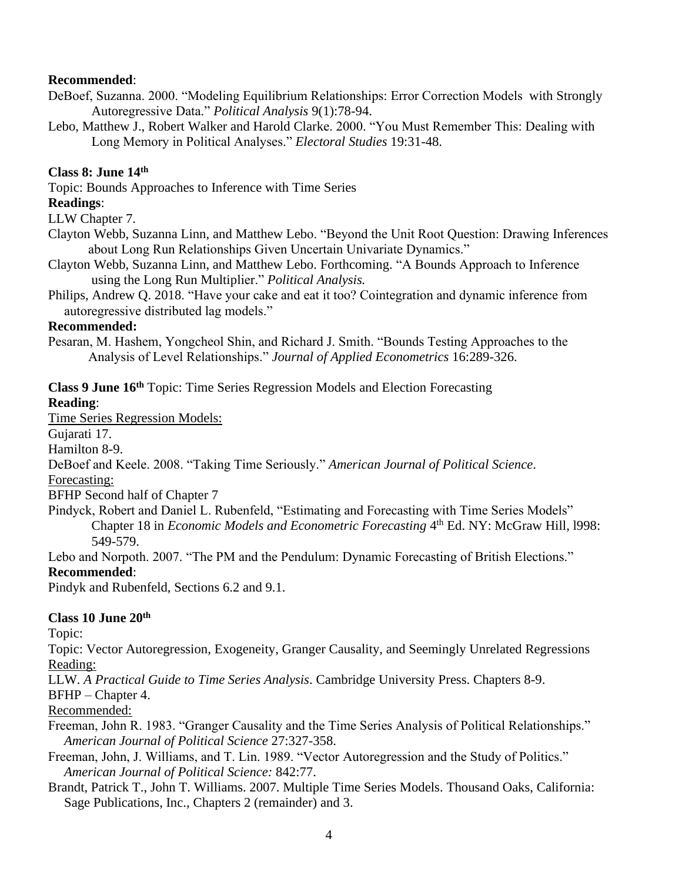## **Recommended**:

- DeBoef, Suzanna. 2000. "Modeling Equilibrium Relationships: Error Correction Models with Strongly Autoregressive Data." *Political Analysis* 9(1):78-94.
- Lebo, Matthew J., Robert Walker and Harold Clarke. 2000. "You Must Remember This: Dealing with Long Memory in Political Analyses." *Electoral Studies* 19:31-48.

## **Class 8: June 14th**

Topic: Bounds Approaches to Inference with Time Series

## **Readings**:

LLW Chapter 7.

- Clayton Webb, Suzanna Linn, and Matthew Lebo. "Beyond the Unit Root Question: Drawing Inferences about Long Run Relationships Given Uncertain Univariate Dynamics."
- Clayton Webb, Suzanna Linn, and Matthew Lebo. Forthcoming. "A Bounds Approach to Inference using the Long Run Multiplier." *Political Analysis.*
- Philips, Andrew Q. 2018. "Have your cake and eat it too? Cointegration and dynamic inference from autoregressive distributed lag models."

## **Recommended:**

Pesaran, M. Hashem, Yongcheol Shin, and Richard J. Smith. "Bounds Testing Approaches to the Analysis of Level Relationships." *Journal of Applied Econometrics* 16:289-326.

**Class 9 June 16th** Topic: Time Series Regression Models and Election Forecasting

## **Reading**:

Time Series Regression Models:

Gujarati 17.

Hamilton 8-9.

DeBoef and Keele. 2008. "Taking Time Seriously." *American Journal of Political Science*.

Forecasting:

BFHP Second half of Chapter 7

- Pindyck, Robert and Daniel L. Rubenfeld, "Estimating and Forecasting with Time Series Models" Chapter 18 in *Economic Models and Econometric Forecasting* 4<sup>th</sup> Ed. NY: McGraw Hill, 1998: 549-579.
- Lebo and Norpoth. 2007. "The PM and the Pendulum: Dynamic Forecasting of British Elections." **Recommended**:

Pindyk and Rubenfeld, Sections 6.2 and 9.1.

# **Class 10 June 20 th**

Topic:

Topic: Vector Autoregression, Exogeneity, Granger Causality, and Seemingly Unrelated Regressions Reading:

LLW. *A Practical Guide to Time Series Analysis*. Cambridge University Press. Chapters 8-9.

### BFHP – Chapter 4.

Recommended:

- Freeman, John R. 1983. "Granger Causality and the Time Series Analysis of Political Relationships." *American Journal of Political Science* 27:327-358.
- Freeman, John, J. Williams, and T. Lin. 1989. "Vector Autoregression and the Study of Politics." *American Journal of Political Science:* 842:77.
- Brandt, Patrick T., John T. Williams. 2007. Multiple Time Series Models. Thousand Oaks, California: Sage Publications, Inc., Chapters 2 (remainder) and 3.